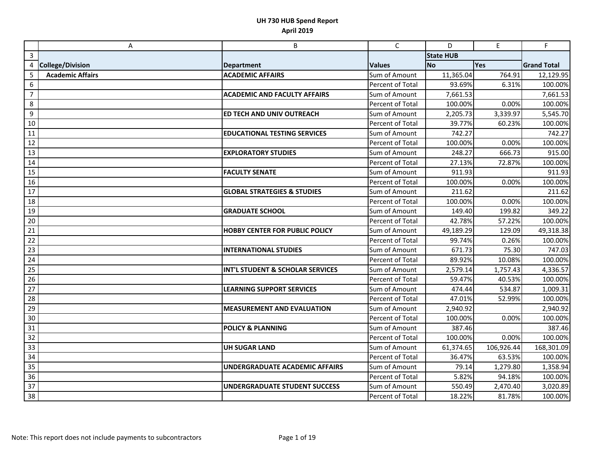|                | Α                       | B                                      | $\mathsf C$             | D                | $\mathsf{E}% _{0}\left( \mathsf{E}\right)$ | F.                 |
|----------------|-------------------------|----------------------------------------|-------------------------|------------------|--------------------------------------------|--------------------|
| $\mathbf{3}$   |                         |                                        |                         | <b>State HUB</b> |                                            |                    |
| 4              | <b>College/Division</b> | <b>Department</b>                      | <b>Values</b>           | <b>No</b>        | <b>Yes</b>                                 | <b>Grand Total</b> |
| 5              | <b>Academic Affairs</b> | <b>ACADEMIC AFFAIRS</b>                | Sum of Amount           | 11,365.04        | 764.91                                     | 12,129.95          |
| 6              |                         |                                        | Percent of Total        | 93.69%           | 6.31%                                      | 100.00%            |
| $\overline{7}$ |                         | <b>ACADEMIC AND FACULTY AFFAIRS</b>    | Sum of Amount           | 7,661.53         |                                            | 7,661.53           |
| 8              |                         |                                        | Percent of Total        | 100.00%          | 0.00%                                      | 100.00%            |
| 9              |                         | ED TECH AND UNIV OUTREACH              | Sum of Amount           | 2,205.73         | 3,339.97                                   | 5,545.70           |
| 10             |                         |                                        | Percent of Total        | 39.77%           | 60.23%                                     | 100.00%            |
| 11             |                         | <b>EDUCATIONAL TESTING SERVICES</b>    | Sum of Amount           | 742.27           |                                            | 742.27             |
| 12             |                         |                                        | <b>Percent of Total</b> | 100.00%          | 0.00%                                      | 100.00%            |
| 13             |                         | <b>EXPLORATORY STUDIES</b>             | Sum of Amount           | 248.27           | 666.73                                     | 915.00             |
| 14             |                         |                                        | Percent of Total        | 27.13%           | 72.87%                                     | 100.00%            |
| 15             |                         | <b>FACULTY SENATE</b>                  | Sum of Amount           | 911.93           |                                            | 911.93             |
| 16             |                         |                                        | <b>Percent of Total</b> | 100.00%          | 0.00%                                      | 100.00%            |
| 17             |                         | <b>GLOBAL STRATEGIES &amp; STUDIES</b> | Sum of Amount           | 211.62           |                                            | 211.62             |
| 18             |                         |                                        | <b>Percent of Total</b> | 100.00%          | 0.00%                                      | 100.00%            |
| 19             |                         | <b>GRADUATE SCHOOL</b>                 | Sum of Amount           | 149.40           | 199.82                                     | 349.22             |
| 20             |                         |                                        | Percent of Total        | 42.78%           | 57.22%                                     | 100.00%            |
| 21             |                         | <b>HOBBY CENTER FOR PUBLIC POLICY</b>  | Sum of Amount           | 49,189.29        | 129.09                                     | 49,318.38          |
| 22             |                         |                                        | Percent of Total        | 99.74%           | 0.26%                                      | 100.00%            |
| 23             |                         | <b>INTERNATIONAL STUDIES</b>           | Sum of Amount           | 671.73           | 75.30                                      | 747.03             |
| 24             |                         |                                        | <b>Percent of Total</b> | 89.92%           | 10.08%                                     | 100.00%            |
| 25             |                         | INT'L STUDENT & SCHOLAR SERVICES       | Sum of Amount           | 2,579.14         | 1,757.43                                   | 4,336.57           |
| 26             |                         |                                        | Percent of Total        | 59.47%           | 40.53%                                     | 100.00%            |
| 27             |                         | <b>LEARNING SUPPORT SERVICES</b>       | Sum of Amount           | 474.44           | 534.87                                     | 1,009.31           |
| 28             |                         |                                        | <b>Percent of Total</b> | 47.01%           | 52.99%                                     | 100.00%            |
| 29             |                         | <b>MEASUREMENT AND EVALUATION</b>      | Sum of Amount           | 2,940.92         |                                            | 2,940.92           |
| 30             |                         |                                        | <b>Percent of Total</b> | 100.00%          | 0.00%                                      | 100.00%            |
| 31             |                         | <b>POLICY &amp; PLANNING</b>           | Sum of Amount           | 387.46           |                                            | 387.46             |
| 32             |                         |                                        | <b>Percent of Total</b> | 100.00%          | 0.00%                                      | 100.00%            |
| 33             |                         | <b>UH SUGAR LAND</b>                   | Sum of Amount           | 61,374.65        | 106,926.44                                 | 168,301.09         |
| 34             |                         |                                        | <b>Percent of Total</b> | 36.47%           | 63.53%                                     | 100.00%            |
| 35             |                         | UNDERGRADUATE ACADEMIC AFFAIRS         | Sum of Amount           | 79.14            | 1,279.80                                   | 1,358.94           |
| 36             |                         |                                        | Percent of Total        | 5.82%            | 94.18%                                     | 100.00%            |
| 37             |                         | <b>UNDERGRADUATE STUDENT SUCCESS</b>   | Sum of Amount           | 550.49           | 2,470.40                                   | 3,020.89           |
| 38             |                         |                                        | Percent of Total        | 18.22%           | 81.78%                                     | 100.00%            |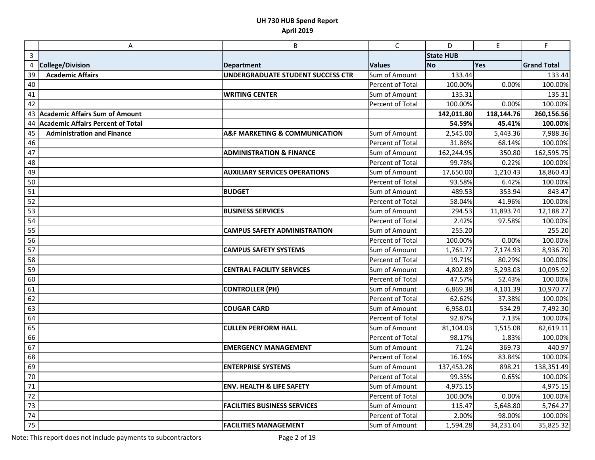|                | Α                                     | B                                            | C                | D                | E          | F                  |
|----------------|---------------------------------------|----------------------------------------------|------------------|------------------|------------|--------------------|
| $\overline{3}$ |                                       |                                              |                  | <b>State HUB</b> |            |                    |
| 4              | College/Division                      | <b>Department</b>                            | <b>Values</b>    | <b>No</b>        | Yes        | <b>Grand Total</b> |
| 39             | <b>Academic Affairs</b>               | UNDERGRADUATE STUDENT SUCCESS CTR            | Sum of Amount    | 133.44           |            | 133.44             |
| 40             |                                       |                                              | Percent of Total | 100.00%          | 0.00%      | 100.00%            |
| 41             |                                       | <b>WRITING CENTER</b>                        | Sum of Amount    | 135.31           |            | 135.31             |
| 42             |                                       |                                              | Percent of Total | 100.00%          | 0.00%      | 100.00%            |
| 43             | <b>Academic Affairs Sum of Amount</b> |                                              |                  | 142,011.80       | 118,144.76 | 260,156.56         |
| 44             | Academic Affairs Percent of Total     |                                              |                  | 54.59%           | 45.41%     | 100.00%            |
| 45             | <b>Administration and Finance</b>     | <b>A&amp;F MARKETING &amp; COMMUNICATION</b> | Sum of Amount    | 2,545.00         | 5,443.36   | 7,988.36           |
| 46             |                                       |                                              | Percent of Total | 31.86%           | 68.14%     | 100.00%            |
| 47             |                                       | <b>ADMINISTRATION &amp; FINANCE</b>          | Sum of Amount    | 162,244.95       | 350.80     | 162,595.75         |
| 48             |                                       |                                              | Percent of Total | 99.78%           | 0.22%      | 100.00%            |
| 49             |                                       | <b>AUXILIARY SERVICES OPERATIONS</b>         | Sum of Amount    | 17,650.00        | 1,210.43   | 18,860.43          |
| 50             |                                       |                                              | Percent of Total | 93.58%           | 6.42%      | 100.00%            |
| 51             |                                       | <b>BUDGET</b>                                | Sum of Amount    | 489.53           | 353.94     | 843.47             |
| 52             |                                       |                                              | Percent of Total | 58.04%           | 41.96%     | 100.00%            |
| 53             |                                       | <b>BUSINESS SERVICES</b>                     | Sum of Amount    | 294.53           | 11,893.74  | 12,188.27          |
| 54             |                                       |                                              | Percent of Total | 2.42%            | 97.58%     | 100.00%            |
| 55             |                                       | <b>CAMPUS SAFETY ADMINISTRATION</b>          | Sum of Amount    | 255.20           |            | 255.20             |
| 56             |                                       |                                              | Percent of Total | 100.00%          | 0.00%      | 100.00%            |
| 57             |                                       | <b>CAMPUS SAFETY SYSTEMS</b>                 | Sum of Amount    | 1,761.77         | 7,174.93   | 8,936.70           |
| 58             |                                       |                                              | Percent of Total | 19.71%           | 80.29%     | 100.00%            |
| 59             |                                       | <b>CENTRAL FACILITY SERVICES</b>             | Sum of Amount    | 4,802.89         | 5,293.03   | 10,095.92          |
| 60             |                                       |                                              | Percent of Total | 47.57%           | 52.43%     | 100.00%            |
| 61             |                                       | <b>CONTROLLER (PH)</b>                       | Sum of Amount    | 6,869.38         | 4,101.39   | 10,970.77          |
| 62             |                                       |                                              | Percent of Total | 62.62%           | 37.38%     | 100.00%            |
| 63             |                                       | <b>COUGAR CARD</b>                           | Sum of Amount    | 6,958.01         | 534.29     | 7,492.30           |
| 64             |                                       |                                              | Percent of Total | 92.87%           | 7.13%      | 100.00%            |
| 65             |                                       | <b>CULLEN PERFORM HALL</b>                   | Sum of Amount    | 81,104.03        | 1,515.08   | 82,619.11          |
| 66             |                                       |                                              | Percent of Total | 98.17%           | 1.83%      | 100.00%            |
| 67             |                                       | <b>EMERGENCY MANAGEMENT</b>                  | Sum of Amount    | 71.24            | 369.73     | 440.97             |
| 68             |                                       |                                              | Percent of Total | 16.16%           | 83.84%     | 100.00%            |
| 69             |                                       | <b>ENTERPRISE SYSTEMS</b>                    | Sum of Amount    | 137,453.28       | 898.21     | 138,351.49         |
| 70             |                                       |                                              | Percent of Total | 99.35%           | 0.65%      | 100.00%            |
| 71             |                                       | <b>ENV. HEALTH &amp; LIFE SAFETY</b>         | Sum of Amount    | 4,975.15         |            | 4,975.15           |
| 72             |                                       |                                              | Percent of Total | 100.00%          | 0.00%      | 100.00%            |
| 73             |                                       | <b>FACILITIES BUSINESS SERVICES</b>          | Sum of Amount    | 115.47           | 5,648.80   | 5,764.27           |
| 74             |                                       |                                              | Percent of Total | 2.00%            | 98.00%     | 100.00%            |
| 75             |                                       | <b>FACILITIES MANAGEMENT</b>                 | Sum of Amount    | 1,594.28         | 34,231.04  | 35,825.32          |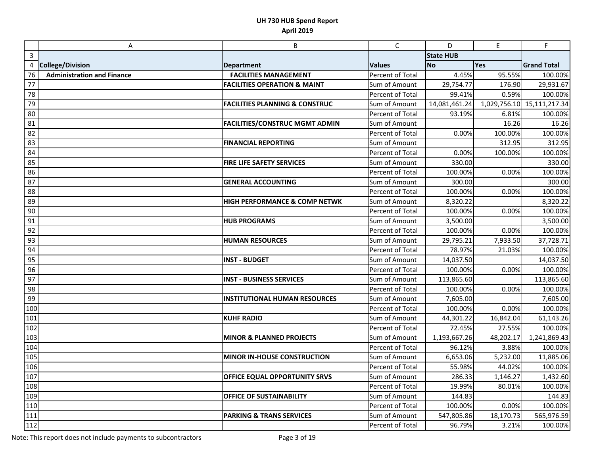|              | Α                                 | B                                         | $\mathsf{C}$     | D                | E            | F                  |
|--------------|-----------------------------------|-------------------------------------------|------------------|------------------|--------------|--------------------|
| $\mathbf{3}$ |                                   |                                           |                  | <b>State HUB</b> |              |                    |
| 4            | <b>College/Division</b>           | <b>Department</b>                         | <b>Values</b>    | <b>No</b>        | Yes          | <b>Grand Total</b> |
| 76           | <b>Administration and Finance</b> | <b>FACILITIES MANAGEMENT</b>              | Percent of Total | 4.45%            | 95.55%       | 100.00%            |
| 77           |                                   | <b>FACILITIES OPERATION &amp; MAINT</b>   | Sum of Amount    | 29,754.77        | 176.90       | 29,931.67          |
| 78           |                                   |                                           | Percent of Total | 99.41%           | 0.59%        | 100.00%            |
| 79           |                                   | <b>FACILITIES PLANNING &amp; CONSTRUC</b> | Sum of Amount    | 14,081,461.24    | 1,029,756.10 | 15,111,217.34      |
| 80           |                                   |                                           | Percent of Total | 93.19%           | 6.81%        | 100.00%            |
| 81           |                                   | <b>FACILITIES/CONSTRUC MGMT ADMIN</b>     | Sum of Amount    |                  | 16.26        | 16.26              |
| 82           |                                   |                                           | Percent of Total | 0.00%            | 100.00%      | 100.00%            |
| 83           |                                   | <b>FINANCIAL REPORTING</b>                | Sum of Amount    |                  | 312.95       | 312.95             |
| 84           |                                   |                                           | Percent of Total | 0.00%            | 100.00%      | 100.00%            |
| 85           |                                   | FIRE LIFE SAFETY SERVICES                 | Sum of Amount    | 330.00           |              | 330.00             |
| 86           |                                   |                                           | Percent of Total | 100.00%          | 0.00%        | 100.00%            |
| 87           |                                   | <b>GENERAL ACCOUNTING</b>                 | Sum of Amount    | 300.00           |              | 300.00             |
| 88           |                                   |                                           | Percent of Total | 100.00%          | 0.00%        | 100.00%            |
| 89           |                                   | HIGH PERFORMANCE & COMP NETWK             | Sum of Amount    | 8,320.22         |              | 8,320.22           |
| 90           |                                   |                                           | Percent of Total | 100.00%          | 0.00%        | 100.00%            |
| 91           |                                   | <b>HUB PROGRAMS</b>                       | Sum of Amount    | 3,500.00         |              | 3,500.00           |
| 92           |                                   |                                           | Percent of Total | 100.00%          | 0.00%        | 100.00%            |
| 93           |                                   | <b>HUMAN RESOURCES</b>                    | Sum of Amount    | 29,795.21        | 7,933.50     | 37,728.71          |
| 94           |                                   |                                           | Percent of Total | 78.97%           | 21.03%       | 100.00%            |
| 95           |                                   | <b>INST - BUDGET</b>                      | Sum of Amount    | 14,037.50        |              | 14,037.50          |
| 96           |                                   |                                           | Percent of Total | 100.00%          | 0.00%        | 100.00%            |
| 97           |                                   | <b>INST - BUSINESS SERVICES</b>           | Sum of Amount    | 113,865.60       |              | 113,865.60         |
| 98           |                                   |                                           | Percent of Total | 100.00%          | 0.00%        | 100.00%            |
| 99           |                                   | <b>INSTITUTIONAL HUMAN RESOURCES</b>      | Sum of Amount    | 7,605.00         |              | 7,605.00           |
| 100          |                                   |                                           | Percent of Total | 100.00%          | 0.00%        | 100.00%            |
| 101          |                                   | <b>KUHF RADIO</b>                         | Sum of Amount    | 44,301.22        | 16,842.04    | 61,143.26          |
| 102          |                                   |                                           | Percent of Total | 72.45%           | 27.55%       | 100.00%            |
| 103          |                                   | <b>MINOR &amp; PLANNED PROJECTS</b>       | Sum of Amount    | 1,193,667.26     | 48,202.17    | 1,241,869.43       |
| 104          |                                   |                                           | Percent of Total | 96.12%           | 3.88%        | 100.00%            |
| 105          |                                   | <b>MINOR IN-HOUSE CONSTRUCTION</b>        | Sum of Amount    | 6,653.06         | 5,232.00     | 11,885.06          |
| 106          |                                   |                                           | Percent of Total | 55.98%           | 44.02%       | 100.00%            |
| 107          |                                   | OFFICE EQUAL OPPORTUNITY SRVS             | Sum of Amount    | 286.33           | 1,146.27     | 1,432.60           |
| 108          |                                   |                                           | Percent of Total | 19.99%           | 80.01%       | 100.00%            |
| 109          |                                   | <b>OFFICE OF SUSTAINABILITY</b>           | Sum of Amount    | 144.83           |              | 144.83             |
| 110          |                                   |                                           | Percent of Total | 100.00%          | 0.00%        | 100.00%            |
| 111          |                                   | <b>PARKING &amp; TRANS SERVICES</b>       | Sum of Amount    | 547,805.86       | 18,170.73    | 565,976.59         |
| 112          |                                   |                                           | Percent of Total | 96.79%           | 3.21%        | 100.00%            |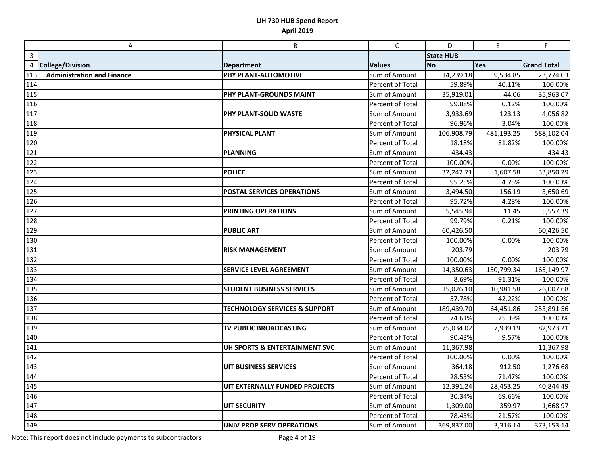|     | A                                 | B                                        | $\mathsf{C}$     | D                | E          | $\mathsf F$        |
|-----|-----------------------------------|------------------------------------------|------------------|------------------|------------|--------------------|
| 3   |                                   |                                          |                  | <b>State HUB</b> |            |                    |
| 4   | <b>College/Division</b>           | <b>Department</b>                        | <b>Values</b>    | <b>No</b>        | Yes        | <b>Grand Total</b> |
| 113 | <b>Administration and Finance</b> | PHY PLANT-AUTOMOTIVE                     | Sum of Amount    | 14,239.18        | 9,534.85   | 23,774.03          |
| 114 |                                   |                                          | Percent of Total | 59.89%           | 40.11%     | 100.00%            |
| 115 |                                   | PHY PLANT-GROUNDS MAINT                  | Sum of Amount    | 35,919.01        | 44.06      | 35,963.07          |
| 116 |                                   |                                          | Percent of Total | 99.88%           | 0.12%      | 100.00%            |
| 117 |                                   | PHY PLANT-SOLID WASTE                    | Sum of Amount    | 3,933.69         | 123.13     | 4,056.82           |
| 118 |                                   |                                          | Percent of Total | 96.96%           | 3.04%      | 100.00%            |
| 119 |                                   | <b>PHYSICAL PLANT</b>                    | Sum of Amount    | 106,908.79       | 481,193.25 | 588,102.04         |
| 120 |                                   |                                          | Percent of Total | 18.18%           | 81.82%     | 100.00%            |
| 121 |                                   | <b>PLANNING</b>                          | Sum of Amount    | 434.43           |            | 434.43             |
| 122 |                                   |                                          | Percent of Total | 100.00%          | 0.00%      | 100.00%            |
| 123 |                                   | <b>POLICE</b>                            | Sum of Amount    | 32,242.71        | 1,607.58   | 33,850.29          |
| 124 |                                   |                                          | Percent of Total | 95.25%           | 4.75%      | 100.00%            |
| 125 |                                   | <b>POSTAL SERVICES OPERATIONS</b>        | Sum of Amount    | 3,494.50         | 156.19     | 3,650.69           |
| 126 |                                   |                                          | Percent of Total | 95.72%           | 4.28%      | 100.00%            |
| 127 |                                   | PRINTING OPERATIONS                      | Sum of Amount    | 5,545.94         | 11.45      | 5,557.39           |
| 128 |                                   |                                          | Percent of Total | 99.79%           | 0.21%      | 100.00%            |
| 129 |                                   | <b>PUBLIC ART</b>                        | Sum of Amount    | 60,426.50        |            | 60,426.50          |
| 130 |                                   |                                          | Percent of Total | 100.00%          | 0.00%      | 100.00%            |
| 131 |                                   | <b>RISK MANAGEMENT</b>                   | Sum of Amount    | 203.79           |            | 203.79             |
| 132 |                                   |                                          | Percent of Total | 100.00%          | 0.00%      | 100.00%            |
| 133 |                                   | <b>SERVICE LEVEL AGREEMENT</b>           | Sum of Amount    | 14,350.63        | 150,799.34 | 165,149.97         |
| 134 |                                   |                                          | Percent of Total | 8.69%            | 91.31%     | 100.00%            |
| 135 |                                   | <b>STUDENT BUSINESS SERVICES</b>         | Sum of Amount    | 15,026.10        | 10,981.58  | 26,007.68          |
| 136 |                                   |                                          | Percent of Total | 57.78%           | 42.22%     | 100.00%            |
| 137 |                                   | <b>TECHNOLOGY SERVICES &amp; SUPPORT</b> | Sum of Amount    | 189,439.70       | 64,451.86  | 253,891.56         |
| 138 |                                   |                                          | Percent of Total | 74.61%           | 25.39%     | 100.00%            |
| 139 |                                   | TV PUBLIC BROADCASTING                   | Sum of Amount    | 75,034.02        | 7,939.19   | 82,973.21          |
| 140 |                                   |                                          | Percent of Total | 90.43%           | 9.57%      | 100.00%            |
| 141 |                                   | UH SPORTS & ENTERTAINMENT SVC            | Sum of Amount    | 11,367.98        |            | 11,367.98          |
| 142 |                                   |                                          | Percent of Total | 100.00%          | 0.00%      | 100.00%            |
| 143 |                                   | <b>UIT BUSINESS SERVICES</b>             | Sum of Amount    | 364.18           | 912.50     | 1,276.68           |
| 144 |                                   |                                          | Percent of Total | 28.53%           | 71.47%     | 100.00%            |
| 145 |                                   | UIT EXTERNALLY FUNDED PROJECTS           | Sum of Amount    | 12,391.24        | 28,453.25  | 40,844.49          |
| 146 |                                   |                                          | Percent of Total | 30.34%           | 69.66%     | 100.00%            |
| 147 |                                   | <b>UIT SECURITY</b>                      | Sum of Amount    | 1,309.00         | 359.97     | 1,668.97           |
| 148 |                                   |                                          | Percent of Total | 78.43%           | 21.57%     | 100.00%            |
| 149 |                                   | UNIV PROP SERV OPERATIONS                | Sum of Amount    | 369,837.00       | 3,316.14   | 373,153.14         |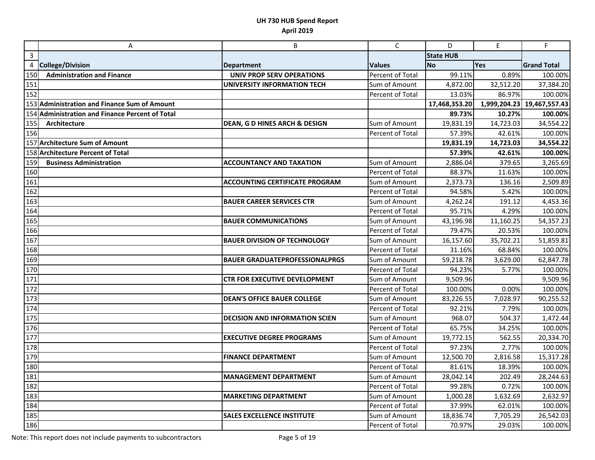|                  | A                                               | B                                     | $\mathsf{C}$     | D                | $\mathsf E$  | F                  |
|------------------|-------------------------------------------------|---------------------------------------|------------------|------------------|--------------|--------------------|
| $\overline{3}$   |                                                 |                                       |                  | <b>State HUB</b> |              |                    |
| 4                | <b>College/Division</b>                         | <b>Department</b>                     | <b>Values</b>    | <b>No</b>        | Yes          | <b>Grand Total</b> |
| 150              | <b>Administration and Finance</b>               | <b>UNIV PROP SERV OPERATIONS</b>      | Percent of Total | 99.11%           | 0.89%        | 100.00%            |
| 151              |                                                 | <b>UNIVERSITY INFORMATION TECH</b>    | Sum of Amount    | 4,872.00         | 32,512.20    | 37,384.20          |
| 152              |                                                 |                                       | Percent of Total | 13.03%           | 86.97%       | 100.00%            |
|                  | 153 Administration and Finance Sum of Amount    |                                       |                  | 17,468,353.20    | 1,999,204.23 | 19,467,557.43      |
|                  | 154 Administration and Finance Percent of Total |                                       |                  | 89.73%           | 10.27%       | 100.00%            |
| 155              | Architecture                                    | DEAN, G D HINES ARCH & DESIGN         | Sum of Amount    | 19,831.19        | 14,723.03    | 34,554.22          |
| 156              |                                                 |                                       | Percent of Total | 57.39%           | 42.61%       | 100.00%            |
|                  | 157 Architecture Sum of Amount                  |                                       |                  | 19,831.19        | 14,723.03    | 34,554.22          |
|                  | 158 Architecture Percent of Total               |                                       |                  | 57.39%           | 42.61%       | 100.00%            |
| 159              | <b>Business Administration</b>                  | <b>ACCOUNTANCY AND TAXATION</b>       | Sum of Amount    | 2,886.04         | 379.65       | 3,265.69           |
| 160              |                                                 |                                       | Percent of Total | 88.37%           | 11.63%       | 100.00%            |
| 161              |                                                 | <b>ACCOUNTING CERTIFICATE PROGRAM</b> | Sum of Amount    | 2,373.73         | 136.16       | 2,509.89           |
| 162              |                                                 |                                       | Percent of Total | 94.58%           | 5.42%        | 100.00%            |
| 163              |                                                 | <b>BAUER CAREER SERVICES CTR</b>      | Sum of Amount    | 4,262.24         | 191.12       | 4,453.36           |
| 164              |                                                 |                                       | Percent of Total | 95.71%           | 4.29%        | 100.00%            |
| 165              |                                                 | <b>BAUER COMMUNICATIONS</b>           | Sum of Amount    | 43,196.98        | 11,160.25    | 54,357.23          |
| 166              |                                                 |                                       | Percent of Total | 79.47%           | 20.53%       | 100.00%            |
| 167              |                                                 | <b>BAUER DIVISION OF TECHNOLOGY</b>   | Sum of Amount    | 16,157.60        | 35,702.21    | 51,859.81          |
| 168              |                                                 |                                       | Percent of Total | 31.16%           | 68.84%       | 100.00%            |
| 169              |                                                 | <b>BAUER GRADUATEPROFESSIONALPRGS</b> | Sum of Amount    | 59,218.78        | 3,629.00     | 62,847.78          |
| $\overline{170}$ |                                                 |                                       | Percent of Total | 94.23%           | 5.77%        | 100.00%            |
| 171              |                                                 | <b>CTR FOR EXECUTIVE DEVELOPMENT</b>  | Sum of Amount    | 9,509.96         |              | 9,509.96           |
| 172              |                                                 |                                       | Percent of Total | 100.00%          | 0.00%        | 100.00%            |
| 173              |                                                 | <b>DEAN'S OFFICE BAUER COLLEGE</b>    | Sum of Amount    | 83,226.55        | 7,028.97     | 90,255.52          |
| 174              |                                                 |                                       | Percent of Total | 92.21%           | 7.79%        | 100.00%            |
| 175              |                                                 | <b>DECISION AND INFORMATION SCIEN</b> | Sum of Amount    | 968.07           | 504.37       | 1,472.44           |
| 176              |                                                 |                                       | Percent of Total | 65.75%           | 34.25%       | 100.00%            |
| 177              |                                                 | <b>EXECUTIVE DEGREE PROGRAMS</b>      | Sum of Amount    | 19,772.15        | 562.55       | 20,334.70          |
| 178              |                                                 |                                       | Percent of Total | 97.23%           | 2.77%        | 100.00%            |
| 179              |                                                 | <b>FINANCE DEPARTMENT</b>             | Sum of Amount    | 12,500.70        | 2,816.58     | 15,317.28          |
| 180              |                                                 |                                       | Percent of Total | 81.61%           | 18.39%       | 100.00%            |
| 181              |                                                 | <b>MANAGEMENT DEPARTMENT</b>          | Sum of Amount    | 28,042.14        | 202.49       | 28,244.63          |
| 182              |                                                 |                                       | Percent of Total | 99.28%           | 0.72%        | 100.00%            |
| 183              |                                                 | <b>MARKETING DEPARTMENT</b>           | Sum of Amount    | 1,000.28         | 1,632.69     | 2,632.97           |
| 184              |                                                 |                                       | Percent of Total | 37.99%           | 62.01%       | 100.00%            |
| $\overline{1}85$ |                                                 | <b>SALES EXCELLENCE INSTITUTE</b>     | Sum of Amount    | 18,836.74        | 7,705.29     | 26,542.03          |
| 186              |                                                 |                                       | Percent of Total | 70.97%           | 29.03%       | 100.00%            |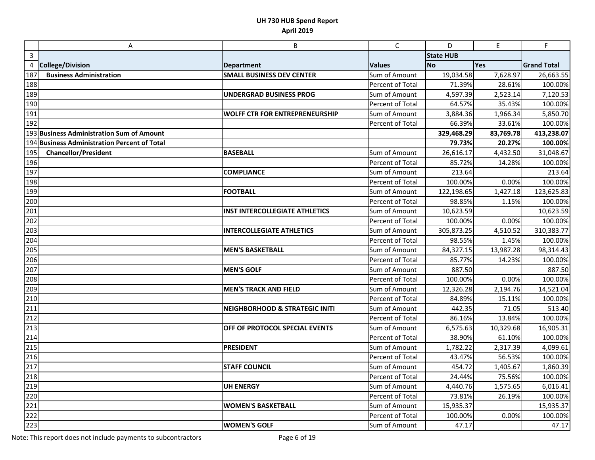|                  | А                                            | B                                         | $\mathsf C$      | D                | E.        | $\mathsf F$        |
|------------------|----------------------------------------------|-------------------------------------------|------------------|------------------|-----------|--------------------|
| $\mathbf{3}$     |                                              |                                           |                  | <b>State HUB</b> |           |                    |
|                  | 4 College/Division                           | <b>Department</b>                         | <b>Values</b>    | <b>No</b>        | Yes       | <b>Grand Total</b> |
| 187              | <b>Business Administration</b>               | <b>SMALL BUSINESS DEV CENTER</b>          | Sum of Amount    | 19,034.58        | 7,628.97  | 26,663.55          |
| 188              |                                              |                                           | Percent of Total | 71.39%           | 28.61%    | 100.00%            |
| 189              |                                              | <b>UNDERGRAD BUSINESS PROG</b>            | Sum of Amount    | 4,597.39         | 2,523.14  | 7,120.53           |
| 190              |                                              |                                           | Percent of Total | 64.57%           | 35.43%    | 100.00%            |
| 191              |                                              | <b>WOLFF CTR FOR ENTREPRENEURSHIP</b>     | Sum of Amount    | 3,884.36         | 1,966.34  | 5,850.70           |
| 192              |                                              |                                           | Percent of Total | 66.39%           | 33.61%    | 100.00%            |
|                  | 193 Business Administration Sum of Amount    |                                           |                  | 329,468.29       | 83,769.78 | 413,238.07         |
|                  | 194 Business Administration Percent of Total |                                           |                  | 79.73%           | 20.27%    | 100.00%            |
| 195              | <b>Chancellor/President</b>                  | <b>BASEBALL</b>                           | Sum of Amount    | 26,616.17        | 4,432.50  | 31,048.67          |
| 196              |                                              |                                           | Percent of Total | 85.72%           | 14.28%    | 100.00%            |
| 197              |                                              | <b>COMPLIANCE</b>                         | Sum of Amount    | 213.64           |           | 213.64             |
| 198              |                                              |                                           | Percent of Total | 100.00%          | 0.00%     | 100.00%            |
| 199              |                                              | <b>FOOTBALL</b>                           | Sum of Amount    | 122,198.65       | 1,427.18  | 123,625.83         |
| 200              |                                              |                                           | Percent of Total | 98.85%           | 1.15%     | 100.00%            |
| 201              |                                              | <b>INST INTERCOLLEGIATE ATHLETICS</b>     | Sum of Amount    | 10,623.59        |           | 10,623.59          |
| 202              |                                              |                                           | Percent of Total | 100.00%          | 0.00%     | 100.00%            |
| 203              |                                              | <b>INTERCOLLEGIATE ATHLETICS</b>          | Sum of Amount    | 305,873.25       | 4,510.52  | 310,383.77         |
| 204              |                                              |                                           | Percent of Total | 98.55%           | 1.45%     | 100.00%            |
| 205              |                                              | <b>MEN'S BASKETBALL</b>                   | Sum of Amount    | 84,327.15        | 13,987.28 | 98,314.43          |
| 206              |                                              |                                           | Percent of Total | 85.77%           | 14.23%    | 100.00%            |
| 207              |                                              | <b>MEN'S GOLF</b>                         | Sum of Amount    | 887.50           |           | 887.50             |
| 208              |                                              |                                           | Percent of Total | 100.00%          | 0.00%     | 100.00%            |
| 209              |                                              | <b>MEN'S TRACK AND FIELD</b>              | Sum of Amount    | 12,326.28        | 2,194.76  | 14,521.04          |
| 210              |                                              |                                           | Percent of Total | 84.89%           | 15.11%    | 100.00%            |
| 211              |                                              | <b>NEIGHBORHOOD &amp; STRATEGIC INITI</b> | Sum of Amount    | 442.35           | 71.05     | 513.40             |
| 212              |                                              |                                           | Percent of Total | 86.16%           | 13.84%    | 100.00%            |
| 213              |                                              | OFF OF PROTOCOL SPECIAL EVENTS            | Sum of Amount    | 6,575.63         | 10,329.68 | 16,905.31          |
| 214              |                                              |                                           | Percent of Total | 38.90%           | 61.10%    | 100.00%            |
| 215              |                                              | <b>PRESIDENT</b>                          | Sum of Amount    | 1,782.22         | 2,317.39  | 4,099.61           |
| 216              |                                              |                                           | Percent of Total | 43.47%           | 56.53%    | 100.00%            |
| 217              |                                              | <b>STAFF COUNCIL</b>                      | Sum of Amount    | 454.72           | 1,405.67  | 1,860.39           |
| 218              |                                              |                                           | Percent of Total | 24.44%           | 75.56%    | 100.00%            |
| 219              |                                              | <b>UH ENERGY</b>                          | Sum of Amount    | 4,440.76         | 1,575.65  | 6,016.41           |
| 220              |                                              |                                           | Percent of Total | 73.81%           | 26.19%    | 100.00%            |
| 221              |                                              | <b>WOMEN'S BASKETBALL</b>                 | Sum of Amount    | 15,935.37        |           | 15,935.37          |
| $\overline{222}$ |                                              |                                           | Percent of Total | 100.00%          | 0.00%     | 100.00%            |
| 223              |                                              | <b>WOMEN'S GOLF</b>                       | Sum of Amount    | 47.17            |           | 47.17              |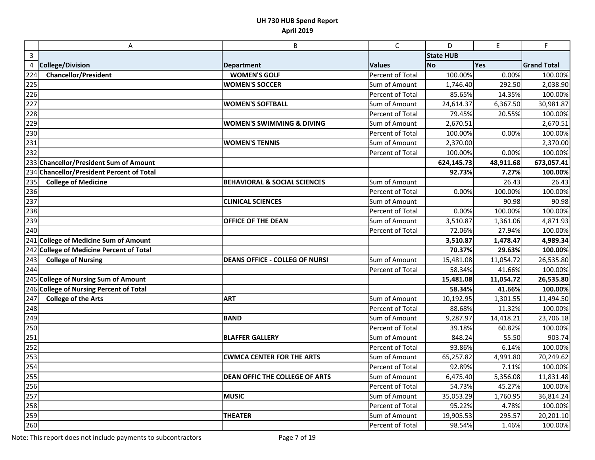|                   | Α                                         | B                                       | $\mathsf{C}$     | D                | E         | $\mathsf F$        |
|-------------------|-------------------------------------------|-----------------------------------------|------------------|------------------|-----------|--------------------|
| $\mathsf{3}$      |                                           |                                         |                  | <b>State HUB</b> |           |                    |
| $\overline{4}$    | <b>College/Division</b>                   | <b>Department</b>                       | <b>Values</b>    | <b>No</b>        | Yes       | <b>Grand Total</b> |
| 224               | <b>Chancellor/President</b>               | <b>WOMEN'S GOLF</b>                     | Percent of Total | 100.00%          | 0.00%     | 100.00%            |
| 225               |                                           | <b>WOMEN'S SOCCER</b>                   | Sum of Amount    | 1,746.40         | 292.50    | 2,038.90           |
| 226               |                                           |                                         | Percent of Total | 85.65%           | 14.35%    | 100.00%            |
| 227               |                                           | <b>WOMEN'S SOFTBALL</b>                 | Sum of Amount    | 24,614.37        | 6,367.50  | 30,981.87          |
| 228               |                                           |                                         | Percent of Total | 79.45%           | 20.55%    | 100.00%            |
| 229               |                                           | <b>WOMEN'S SWIMMING &amp; DIVING</b>    | Sum of Amount    | 2,670.51         |           | 2,670.51           |
| 230               |                                           |                                         | Percent of Total | 100.00%          | 0.00%     | 100.00%            |
| 231               |                                           | <b>WOMEN'S TENNIS</b>                   | Sum of Amount    | 2,370.00         |           | 2,370.00           |
| 232               |                                           |                                         | Percent of Total | 100.00%          | 0.00%     | 100.00%            |
|                   | 233 Chancellor/President Sum of Amount    |                                         |                  | 624,145.73       | 48,911.68 | 673,057.41         |
|                   | 234 Chancellor/President Percent of Total |                                         |                  | 92.73%           | 7.27%     | 100.00%            |
| 235               | <b>College of Medicine</b>                | <b>BEHAVIORAL &amp; SOCIAL SCIENCES</b> | Sum of Amount    |                  | 26.43     | 26.43              |
| 236               |                                           |                                         | Percent of Total | 0.00%            | 100.00%   | 100.00%            |
| 237               |                                           | <b>CLINICAL SCIENCES</b>                | Sum of Amount    |                  | 90.98     | 90.98              |
| 238               |                                           |                                         | Percent of Total | 0.00%            | 100.00%   | 100.00%            |
| 239               |                                           | OFFICE OF THE DEAN                      | Sum of Amount    | 3,510.87         | 1,361.06  | 4,871.93           |
| 240               |                                           |                                         | Percent of Total | 72.06%           | 27.94%    | 100.00%            |
|                   | 241 College of Medicine Sum of Amount     |                                         |                  | 3,510.87         | 1,478.47  | 4,989.34           |
|                   | 242 College of Medicine Percent of Total  |                                         |                  | 70.37%           | 29.63%    | 100.00%            |
| 243               | <b>College of Nursing</b>                 | <b>DEANS OFFICE - COLLEG OF NURSI</b>   | Sum of Amount    | 15,481.08        | 11,054.72 | 26,535.80          |
| 244               |                                           |                                         | Percent of Total | 58.34%           | 41.66%    | 100.00%            |
|                   | 245 College of Nursing Sum of Amount      |                                         |                  | 15,481.08        | 11,054.72 | 26,535.80          |
|                   | 246 College of Nursing Percent of Total   |                                         |                  | 58.34%           | 41.66%    | 100.00%            |
| 247               | <b>College of the Arts</b>                | ART                                     | Sum of Amount    | 10,192.95        | 1,301.55  | 11,494.50          |
| 248               |                                           |                                         | Percent of Total | 88.68%           | 11.32%    | 100.00%            |
| $\overline{2}$ 49 |                                           | <b>BAND</b>                             | Sum of Amount    | 9,287.97         | 14,418.21 | 23,706.18          |
| 250               |                                           |                                         | Percent of Total | 39.18%           | 60.82%    | 100.00%            |
| 251               |                                           | <b>BLAFFER GALLERY</b>                  | Sum of Amount    | 848.24           | 55.50     | 903.74             |
| $\overline{252}$  |                                           |                                         | Percent of Total | 93.86%           | 6.14%     | 100.00%            |
| 253               |                                           | <b>CWMCA CENTER FOR THE ARTS</b>        | Sum of Amount    | 65,257.82        | 4,991.80  | 70,249.62          |
| 254               |                                           |                                         | Percent of Total | 92.89%           | 7.11%     | 100.00%            |
| 255               |                                           | DEAN OFFIC THE COLLEGE OF ARTS          | Sum of Amount    | 6,475.40         | 5,356.08  | 11,831.48          |
| 256               |                                           |                                         | Percent of Total | 54.73%           | 45.27%    | 100.00%            |
| 257               |                                           | <b>MUSIC</b>                            | Sum of Amount    | 35,053.29        | 1,760.95  | 36,814.24          |
| 258               |                                           |                                         | Percent of Total | 95.22%           | 4.78%     | 100.00%            |
| 259               |                                           | <b>THEATER</b>                          | Sum of Amount    | 19,905.53        | 295.57    | 20,201.10          |
| 260               |                                           |                                         | Percent of Total | 98.54%           | 1.46%     | 100.00%            |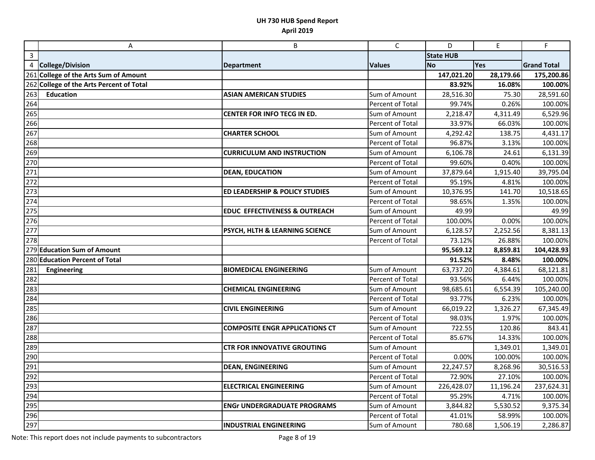|                  | A                                        | B                                         | $\mathsf{C}$            | D                | E         | F                  |
|------------------|------------------------------------------|-------------------------------------------|-------------------------|------------------|-----------|--------------------|
| $\mathsf{3}$     |                                          |                                           |                         | <b>State HUB</b> |           |                    |
|                  | 4 College/Division                       | <b>Department</b>                         | <b>Values</b>           | <b>No</b>        | Yes       | <b>Grand Total</b> |
|                  | 261 College of the Arts Sum of Amount    |                                           |                         | 147,021.20       | 28,179.66 | 175,200.86         |
|                  | 262 College of the Arts Percent of Total |                                           |                         | 83.92%           | 16.08%    | 100.00%            |
| 263              | <b>Education</b>                         | <b>ASIAN AMERICAN STUDIES</b>             | Sum of Amount           | 28,516.30        | 75.30     | 28,591.60          |
| 264              |                                          |                                           | Percent of Total        | 99.74%           | 0.26%     | 100.00%            |
| $\overline{265}$ |                                          | CENTER FOR INFO TECG IN ED.               | Sum of Amount           | 2,218.47         | 4,311.49  | 6,529.96           |
| 266              |                                          |                                           | Percent of Total        | 33.97%           | 66.03%    | 100.00%            |
| 267              |                                          | <b>CHARTER SCHOOL</b>                     | Sum of Amount           | 4,292.42         | 138.75    | 4,431.17           |
| 268              |                                          |                                           | <b>Percent of Total</b> | 96.87%           | 3.13%     | 100.00%            |
| 269              |                                          | <b>CURRICULUM AND INSTRUCTION</b>         | Sum of Amount           | 6,106.78         | 24.61     | 6,131.39           |
| 270              |                                          |                                           | Percent of Total        | 99.60%           | 0.40%     | 100.00%            |
| 271              |                                          | <b>DEAN, EDUCATION</b>                    | Sum of Amount           | 37,879.64        | 1,915.40  | 39,795.04          |
| 272              |                                          |                                           | Percent of Total        | 95.19%           | 4.81%     | 100.00%            |
| 273              |                                          | <b>ED LEADERSHIP &amp; POLICY STUDIES</b> | Sum of Amount           | 10,376.95        | 141.70    | 10,518.65          |
| 274              |                                          |                                           | Percent of Total        | 98.65%           | 1.35%     | 100.00%            |
| 275              |                                          | <b>EDUC EFFECTIVENESS &amp; OUTREACH</b>  | Sum of Amount           | 49.99            |           | 49.99              |
| 276              |                                          |                                           | Percent of Total        | 100.00%          | 0.00%     | 100.00%            |
| 277              |                                          | PSYCH, HLTH & LEARNING SCIENCE            | Sum of Amount           | 6,128.57         | 2,252.56  | 8,381.13           |
| 278              |                                          |                                           | Percent of Total        | 73.12%           | 26.88%    | 100.00%            |
|                  | 279 Education Sum of Amount              |                                           |                         | 95,569.12        | 8,859.81  | 104,428.93         |
|                  | 280 Education Percent of Total           |                                           |                         | 91.52%           | 8.48%     | 100.00%            |
| 281              | Engineering                              | <b>BIOMEDICAL ENGINEERING</b>             | Sum of Amount           | 63,737.20        | 4,384.61  | 68,121.81          |
| 282              |                                          |                                           | Percent of Total        | 93.56%           | 6.44%     | 100.00%            |
| 283              |                                          | <b>CHEMICAL ENGINEERING</b>               | Sum of Amount           | 98,685.61        | 6,554.39  | 105,240.00         |
| 284              |                                          |                                           | Percent of Total        | 93.77%           | 6.23%     | 100.00%            |
| 285              |                                          | <b>CIVIL ENGINEERING</b>                  | Sum of Amount           | 66,019.22        | 1,326.27  | 67,345.49          |
| 286              |                                          |                                           | Percent of Total        | 98.03%           | 1.97%     | 100.00%            |
| 287              |                                          | <b>COMPOSITE ENGR APPLICATIONS CT</b>     | Sum of Amount           | 722.55           | 120.86    | 843.41             |
| 288              |                                          |                                           | Percent of Total        | 85.67%           | 14.33%    | 100.00%            |
| 289              |                                          | <b>CTR FOR INNOVATIVE GROUTING</b>        | Sum of Amount           |                  | 1,349.01  | 1,349.01           |
| 290              |                                          |                                           | Percent of Total        | 0.00%            | 100.00%   | 100.00%            |
| 291              |                                          | <b>DEAN, ENGINEERING</b>                  | Sum of Amount           | 22,247.57        | 8,268.96  | 30,516.53          |
| 292              |                                          |                                           | Percent of Total        | 72.90%           | 27.10%    | 100.00%            |
| 293              |                                          | <b>ELECTRICAL ENGINEERING</b>             | Sum of Amount           | 226,428.07       | 11,196.24 | 237,624.31         |
| 294              |                                          |                                           | Percent of Total        | 95.29%           | 4.71%     | 100.00%            |
| 295              |                                          | <b>ENGr UNDERGRADUATE PROGRAMS</b>        | Sum of Amount           | 3,844.82         | 5,530.52  | 9,375.34           |
| 296              |                                          |                                           | Percent of Total        | 41.01%           | 58.99%    | 100.00%            |
| 297              |                                          | <b>INDUSTRIAL ENGINEERING</b>             | Sum of Amount           | 780.68           | 1,506.19  | 2,286.87           |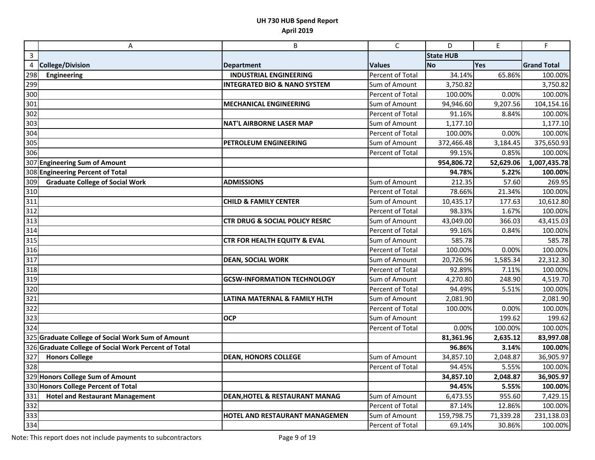|                                     | A                                                    | B                                         | $\mathsf{C}$     | D                | E         | F                  |
|-------------------------------------|------------------------------------------------------|-------------------------------------------|------------------|------------------|-----------|--------------------|
| $\overline{3}$                      |                                                      |                                           |                  | <b>State HUB</b> |           |                    |
| 4                                   | <b>College/Division</b>                              | <b>Department</b>                         | <b>Values</b>    | <b>No</b>        | Yes       | <b>Grand Total</b> |
| 298                                 | <b>Engineering</b>                                   | <b>INDUSTRIAL ENGINEERING</b>             | Percent of Total | 34.14%           | 65.86%    | 100.00%            |
| 299                                 |                                                      | <b>INTEGRATED BIO &amp; NANO SYSTEM</b>   | Sum of Amount    | 3,750.82         |           | 3,750.82           |
| 300                                 |                                                      |                                           | Percent of Total | 100.00%          | 0.00%     | 100.00%            |
| 301                                 |                                                      | <b>MECHANICAL ENGINEERING</b>             | Sum of Amount    | 94,946.60        | 9,207.56  | 104,154.16         |
| 302                                 |                                                      |                                           | Percent of Total | 91.16%           | 8.84%     | 100.00%            |
| 303                                 |                                                      | <b>NAT'L AIRBORNE LASER MAP</b>           | Sum of Amount    | 1,177.10         |           | 1,177.10           |
| 304                                 |                                                      |                                           | Percent of Total | 100.00%          | 0.00%     | 100.00%            |
| 305                                 |                                                      | PETROLEUM ENGINEERING                     | Sum of Amount    | 372,466.48       | 3,184.45  | 375,650.93         |
| 306                                 |                                                      |                                           | Percent of Total | 99.15%           | 0.85%     | 100.00%            |
|                                     | 307 Engineering Sum of Amount                        |                                           |                  | 954,806.72       | 52,629.06 | 1,007,435.78       |
|                                     | 308 Engineering Percent of Total                     |                                           |                  | 94.78%           | 5.22%     | 100.00%            |
| 309                                 | <b>Graduate College of Social Work</b>               | <b>ADMISSIONS</b>                         | Sum of Amount    | 212.35           | 57.60     | 269.95             |
| 310                                 |                                                      |                                           | Percent of Total | 78.66%           | 21.34%    | 100.00%            |
| 311                                 |                                                      | <b>CHILD &amp; FAMILY CENTER</b>          | Sum of Amount    | 10,435.17        | 177.63    | 10,612.80          |
| 312                                 |                                                      |                                           | Percent of Total | 98.33%           | 1.67%     | 100.00%            |
| 313                                 |                                                      | <b>CTR DRUG &amp; SOCIAL POLICY RESRC</b> | Sum of Amount    | 43,049.00        | 366.03    | 43,415.03          |
| $\frac{314}{315}$ $\frac{315}{316}$ |                                                      |                                           | Percent of Total | 99.16%           | 0.84%     | 100.00%            |
|                                     |                                                      | CTR FOR HEALTH EQUITY & EVAL              | Sum of Amount    | 585.78           |           | 585.78             |
|                                     |                                                      |                                           | Percent of Total | 100.00%          | 0.00%     | 100.00%            |
| $\frac{1}{317}$                     |                                                      | <b>DEAN, SOCIAL WORK</b>                  | Sum of Amount    | 20,726.96        | 1,585.34  | 22,312.30          |
| 318                                 |                                                      |                                           | Percent of Total | 92.89%           | 7.11%     | 100.00%            |
| 319                                 |                                                      | <b>GCSW-INFORMATION TECHNOLOGY</b>        | Sum of Amount    | 4,270.80         | 248.90    | 4,519.70           |
| 320                                 |                                                      |                                           | Percent of Total | 94.49%           | 5.51%     | 100.00%            |
| 321<br>322                          |                                                      | LATINA MATERNAL & FAMILY HLTH             | Sum of Amount    | 2,081.90         |           | 2,081.90           |
|                                     |                                                      |                                           | Percent of Total | 100.00%          | 0.00%     | 100.00%            |
| 323                                 |                                                      | <b>OCP</b>                                | Sum of Amount    |                  | 199.62    | 199.62             |
| 324                                 |                                                      |                                           | Percent of Total | 0.00%            | 100.00%   | 100.00%            |
|                                     | 325 Graduate College of Social Work Sum of Amount    |                                           |                  | 81,361.96        | 2,635.12  | 83,997.08          |
|                                     | 326 Graduate College of Social Work Percent of Total |                                           |                  | 96.86%           | 3.14%     | 100.00%            |
| 327                                 | <b>Honors College</b>                                | <b>DEAN, HONORS COLLEGE</b>               | Sum of Amount    | 34,857.10        | 2,048.87  | 36,905.97          |
| 328                                 |                                                      |                                           | Percent of Total | 94.45%           | 5.55%     | 100.00%            |
|                                     | 329 Honors College Sum of Amount                     |                                           |                  | 34,857.10        | 2,048.87  | 36,905.97          |
|                                     | 330 Honors College Percent of Total                  |                                           |                  | 94.45%           | 5.55%     | 100.00%            |
| 331                                 | <b>Hotel and Restaurant Management</b>               | <b>DEAN, HOTEL &amp; RESTAURANT MANAG</b> | Sum of Amount    | 6,473.55         | 955.60    | 7,429.15           |
| 332                                 |                                                      |                                           | Percent of Total | 87.14%           | 12.86%    | 100.00%            |
| 333                                 |                                                      | HOTEL AND RESTAURANT MANAGEMEN            | Sum of Amount    | 159,798.75       | 71,339.28 | 231,138.03         |
| 334                                 |                                                      |                                           | Percent of Total | 69.14%           | 30.86%    | 100.00%            |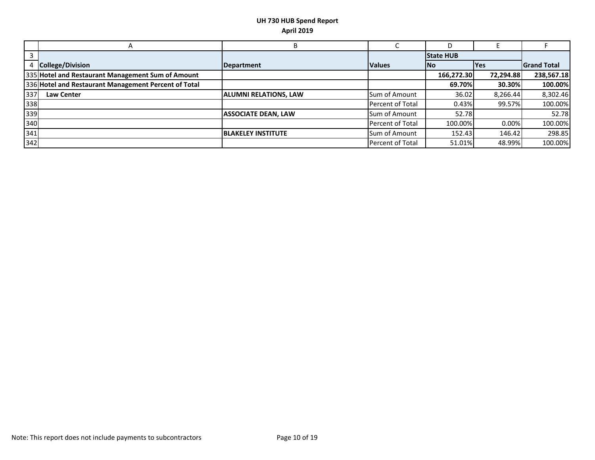|     | Α                                                    |                              |                         |                  |            |                    |
|-----|------------------------------------------------------|------------------------------|-------------------------|------------------|------------|--------------------|
|     |                                                      |                              |                         | <b>State HUB</b> |            |                    |
|     | <b>College/Division</b>                              | Department                   | <b>Values</b>           | <b>INo</b>       | <b>Yes</b> | <b>Grand Total</b> |
|     | 335 Hotel and Restaurant Management Sum of Amount    |                              |                         | 166,272.30       | 72,294.88  | 238,567.18         |
|     | 336 Hotel and Restaurant Management Percent of Total |                              |                         | 69.70%           | 30.30%     | 100.00%            |
| 337 | <b>Law Center</b>                                    | <b>ALUMNI RELATIONS, LAW</b> | Sum of Amount           | 36.02            | 8,266.44   | 8,302.46           |
| 338 |                                                      |                              | <b>Percent of Total</b> | 0.43%            | 99.57%     | 100.00%            |
| 339 |                                                      | <b>ASSOCIATE DEAN, LAW</b>   | Sum of Amount           | 52.78            |            | 52.78              |
| 340 |                                                      |                              | <b>Percent of Total</b> | 100.00%          | 0.00%      | 100.00%            |
| 341 |                                                      | <b>BLAKELEY INSTITUTE</b>    | Sum of Amount           | 152.43           | 146.42     | 298.85             |
| 342 |                                                      |                              | Percent of Total        | 51.01%           | 48.99%     | 100.00%            |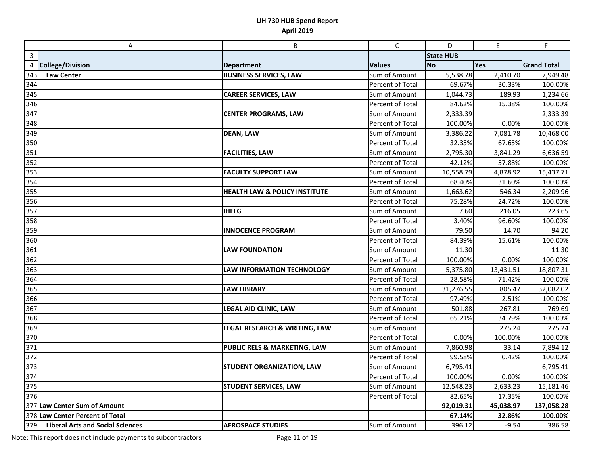|                         | A                                       | B                                        | $\mathsf{C}$     | D                | $\mathsf E$ | F                  |
|-------------------------|-----------------------------------------|------------------------------------------|------------------|------------------|-------------|--------------------|
| $\overline{\mathbf{3}}$ |                                         |                                          |                  | <b>State HUB</b> |             |                    |
| 4                       | <b>College/Division</b>                 | <b>Department</b>                        | <b>Values</b>    | <b>No</b>        | Yes         | <b>Grand Total</b> |
| 343                     | <b>Law Center</b>                       | <b>BUSINESS SERVICES, LAW</b>            | Sum of Amount    | 5,538.78         | 2,410.70    | 7,949.48           |
| 344                     |                                         |                                          | Percent of Total | 69.67%           | 30.33%      | 100.00%            |
| 345                     |                                         | <b>CAREER SERVICES, LAW</b>              | Sum of Amount    | 1,044.73         | 189.93      | 1,234.66           |
| 346                     |                                         |                                          | Percent of Total | 84.62%           | 15.38%      | 100.00%            |
| 347                     |                                         | <b>CENTER PROGRAMS, LAW</b>              | Sum of Amount    | 2,333.39         |             | 2,333.39           |
| 348                     |                                         |                                          | Percent of Total | 100.00%          | 0.00%       | 100.00%            |
| 349                     |                                         | <b>DEAN, LAW</b>                         | Sum of Amount    | 3,386.22         | 7,081.78    | 10,468.00          |
| 350                     |                                         |                                          | Percent of Total | 32.35%           | 67.65%      | 100.00%            |
| 351                     |                                         | <b>FACILITIES, LAW</b>                   | Sum of Amount    | 2,795.30         | 3,841.29    | 6,636.59           |
| 352                     |                                         |                                          | Percent of Total | 42.12%           | 57.88%      | 100.00%            |
| 353                     |                                         | <b>FACULTY SUPPORT LAW</b>               | Sum of Amount    | 10,558.79        | 4,878.92    | 15,437.71          |
| 354                     |                                         |                                          | Percent of Total | 68.40%           | 31.60%      | 100.00%            |
| 355                     |                                         | <b>HEALTH LAW &amp; POLICY INSTITUTE</b> | Sum of Amount    | 1,663.62         | 546.34      | 2,209.96           |
| 356                     |                                         |                                          | Percent of Total | 75.28%           | 24.72%      | 100.00%            |
| 357                     |                                         | <b>IHELG</b>                             | Sum of Amount    | 7.60             | 216.05      | 223.65             |
| 358                     |                                         |                                          | Percent of Total | 3.40%            | 96.60%      | 100.00%            |
| 359                     |                                         | <b>INNOCENCE PROGRAM</b>                 | Sum of Amount    | 79.50            | 14.70       | 94.20              |
| 360                     |                                         |                                          | Percent of Total | 84.39%           | 15.61%      | 100.00%            |
| 361                     |                                         | <b>LAW FOUNDATION</b>                    | Sum of Amount    | 11.30            |             | 11.30              |
| 362                     |                                         |                                          | Percent of Total | 100.00%          | 0.00%       | 100.00%            |
| 363                     |                                         | <b>LAW INFORMATION TECHNOLOGY</b>        | Sum of Amount    | 5,375.80         | 13,431.51   | 18,807.31          |
| 364                     |                                         |                                          | Percent of Total | 28.58%           | 71.42%      | 100.00%            |
| 365                     |                                         | <b>LAW LIBRARY</b>                       | Sum of Amount    | 31,276.55        | 805.47      | 32,082.02          |
| 366                     |                                         |                                          | Percent of Total | 97.49%           | 2.51%       | 100.00%            |
| 367                     |                                         | LEGAL AID CLINIC, LAW                    | Sum of Amount    | 501.88           | 267.81      | 769.69             |
| 368                     |                                         |                                          | Percent of Total | 65.21%           | 34.79%      | 100.00%            |
| 369                     |                                         | <b>LEGAL RESEARCH &amp; WRITING, LAW</b> | Sum of Amount    |                  | 275.24      | 275.24             |
| 370                     |                                         |                                          | Percent of Total | 0.00%            | 100.00%     | 100.00%            |
| 371                     |                                         | PUBLIC RELS & MARKETING, LAW             | Sum of Amount    | 7,860.98         | 33.14       | 7,894.12           |
| 372                     |                                         |                                          | Percent of Total | 99.58%           | 0.42%       | 100.00%            |
| 373                     |                                         | STUDENT ORGANIZATION, LAW                | Sum of Amount    | 6,795.41         |             | 6,795.41           |
| 374                     |                                         |                                          | Percent of Total | 100.00%          | 0.00%       | 100.00%            |
| 375                     |                                         | <b>STUDENT SERVICES, LAW</b>             | Sum of Amount    | 12,548.23        | 2,633.23    | 15,181.46          |
| 376                     |                                         |                                          | Percent of Total | 82.65%           | 17.35%      | 100.00%            |
|                         | 377 Law Center Sum of Amount            |                                          |                  | 92,019.31        | 45,038.97   | 137,058.28         |
|                         | 378 Law Center Percent of Total         |                                          |                  | 67.14%           | 32.86%      | 100.00%            |
| 379                     | <b>Liberal Arts and Social Sciences</b> | <b>AEROSPACE STUDIES</b>                 | Sum of Amount    | 396.12           | $-9.54$     | 386.58             |

Note: This report does not include payments to subcontractors Page 11 of 19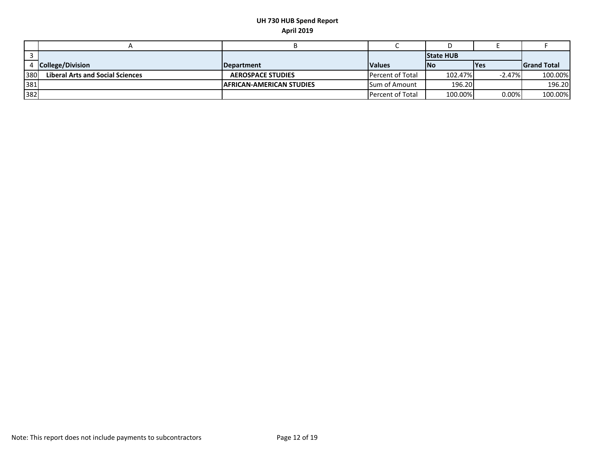|     |                                         |                                 |                         | <b>State HUB</b> |             |                     |
|-----|-----------------------------------------|---------------------------------|-------------------------|------------------|-------------|---------------------|
|     | 4 College/Division                      | <b>IDepartment</b>              | <b>Values</b>           | <b>INo</b>       | <b>IYes</b> | <b>IGrand Total</b> |
| 380 | <b>Liberal Arts and Social Sciences</b> | <b>AEROSPACE STUDIES</b>        | <b>Percent of Total</b> | 102.47%          | $-2.47\%$   | 100.00%             |
| 381 |                                         | <b>AFRICAN-AMERICAN STUDIES</b> | <b>Sum of Amount</b>    | 196.20           |             | 196.20              |
| 382 |                                         |                                 | <b>Percent of Total</b> | 100.00%          | $0.00\%$    | 100.00%             |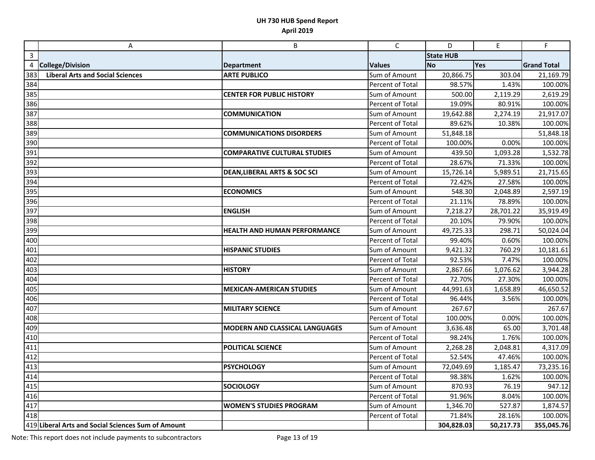|                  | A                                                  | B                                       | $\mathsf{C}$     | D                | E         | F                  |
|------------------|----------------------------------------------------|-----------------------------------------|------------------|------------------|-----------|--------------------|
| $\mathbf{3}$     |                                                    |                                         |                  | <b>State HUB</b> |           |                    |
| 4                | <b>College/Division</b>                            | <b>Department</b>                       | <b>Values</b>    | <b>No</b>        | Yes       | <b>Grand Total</b> |
| 383              | <b>Liberal Arts and Social Sciences</b>            | <b>ARTE PUBLICO</b>                     | Sum of Amount    | 20,866.75        | 303.04    | 21,169.79          |
| 384              |                                                    |                                         | Percent of Total | 98.57%           | 1.43%     | 100.00%            |
| 385              |                                                    | <b>CENTER FOR PUBLIC HISTORY</b>        | Sum of Amount    | 500.00           | 2,119.29  | 2,619.29           |
| 386              |                                                    |                                         | Percent of Total | 19.09%           | 80.91%    | 100.00%            |
| $\overline{3}87$ |                                                    | <b>COMMUNICATION</b>                    | Sum of Amount    | 19,642.88        | 2,274.19  | 21,917.07          |
| 388              |                                                    |                                         | Percent of Total | 89.62%           | 10.38%    | 100.00%            |
| 389              |                                                    | <b>COMMUNICATIONS DISORDERS</b>         | Sum of Amount    | 51,848.18        |           | 51,848.18          |
| 390              |                                                    |                                         | Percent of Total | 100.00%          | 0.00%     | 100.00%            |
| 391              |                                                    | <b>COMPARATIVE CULTURAL STUDIES</b>     | Sum of Amount    | 439.50           | 1,093.28  | 1,532.78           |
| 392              |                                                    |                                         | Percent of Total | 28.67%           | 71.33%    | 100.00%            |
| 393              |                                                    | <b>DEAN, LIBERAL ARTS &amp; SOC SCI</b> | Sum of Amount    | 15,726.14        | 5,989.51  | 21,715.65          |
| $\overline{3}94$ |                                                    |                                         | Percent of Total | 72.42%           | 27.58%    | 100.00%            |
| 395              |                                                    | <b>ECONOMICS</b>                        | Sum of Amount    | 548.30           | 2,048.89  | 2,597.19           |
| 396              |                                                    |                                         | Percent of Total | 21.11%           | 78.89%    | 100.00%            |
| 397              |                                                    | <b>ENGLISH</b>                          | Sum of Amount    | 7,218.27         | 28,701.22 | 35,919.49          |
| 398              |                                                    |                                         | Percent of Total | 20.10%           | 79.90%    | 100.00%            |
| 399              |                                                    | <b>HEALTH AND HUMAN PERFORMANCE</b>     | Sum of Amount    | 49,725.33        | 298.71    | 50,024.04          |
| 400              |                                                    |                                         | Percent of Total | 99.40%           | 0.60%     | 100.00%            |
| 401              |                                                    | <b>HISPANIC STUDIES</b>                 | Sum of Amount    | 9,421.32         | 760.29    | 10,181.61          |
| 402              |                                                    |                                         | Percent of Total | 92.53%           | 7.47%     | 100.00%            |
| 403              |                                                    | <b>HISTORY</b>                          | Sum of Amount    | 2,867.66         | 1,076.62  | 3,944.28           |
| 404              |                                                    |                                         | Percent of Total | 72.70%           | 27.30%    | 100.00%            |
| 405              |                                                    | <b>MEXICAN-AMERICAN STUDIES</b>         | Sum of Amount    | 44,991.63        | 1,658.89  | 46,650.52          |
| 406              |                                                    |                                         | Percent of Total | 96.44%           | 3.56%     | 100.00%            |
| 407              |                                                    | <b>MILITARY SCIENCE</b>                 | Sum of Amount    | 267.67           |           | 267.67             |
| 408              |                                                    |                                         | Percent of Total | 100.00%          | 0.00%     | 100.00%            |
| 409              |                                                    | <b>MODERN AND CLASSICAL LANGUAGES</b>   | Sum of Amount    | 3,636.48         | 65.00     | 3,701.48           |
| 410              |                                                    |                                         | Percent of Total | 98.24%           | 1.76%     | 100.00%            |
| 411              |                                                    | POLITICAL SCIENCE                       | Sum of Amount    | 2,268.28         | 2,048.81  | 4,317.09           |
| 412              |                                                    |                                         | Percent of Total | 52.54%           | 47.46%    | 100.00%            |
| 413              |                                                    | <b>PSYCHOLOGY</b>                       | Sum of Amount    | 72,049.69        | 1,185.47  | 73,235.16          |
| 414              |                                                    |                                         | Percent of Total | 98.38%           | 1.62%     | 100.00%            |
| 415              |                                                    | <b>SOCIOLOGY</b>                        | Sum of Amount    | 870.93           | 76.19     | 947.12             |
| 416              |                                                    |                                         | Percent of Total | 91.96%           | 8.04%     | 100.00%            |
| 417              |                                                    | <b>WOMEN'S STUDIES PROGRAM</b>          | Sum of Amount    | 1,346.70         | 527.87    | 1,874.57           |
| 418              |                                                    |                                         | Percent of Total | 71.84%           | 28.16%    | 100.00%            |
|                  | 419 Liberal Arts and Social Sciences Sum of Amount |                                         |                  | 304,828.03       | 50,217.73 | 355,045.76         |

Note: This report does not include payments to subcontractors Page 13 of 19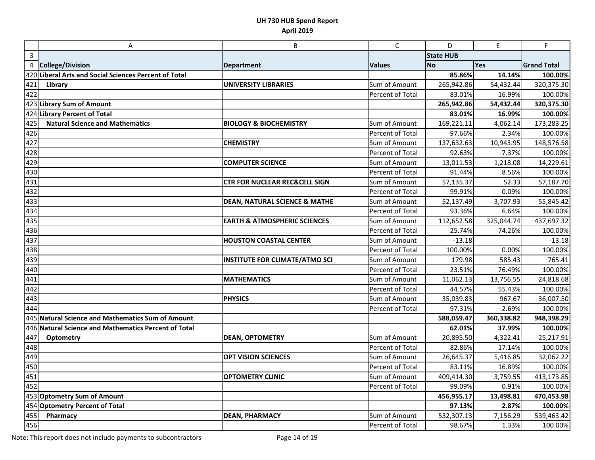|                         | Α                                                     | B                                        | $\mathsf C$      | D                | E          | F                  |
|-------------------------|-------------------------------------------------------|------------------------------------------|------------------|------------------|------------|--------------------|
| $\overline{\mathbf{3}}$ |                                                       |                                          |                  | <b>State HUB</b> |            |                    |
| 4                       | <b>College/Division</b>                               | <b>Department</b>                        | <b>Values</b>    | <b>No</b>        | Yes        | <b>Grand Total</b> |
|                         | 420 Liberal Arts and Social Sciences Percent of Total |                                          |                  | 85.86%           | 14.14%     | 100.00%            |
| 421                     | Library                                               | <b>UNIVERSITY LIBRARIES</b>              | Sum of Amount    | 265,942.86       | 54,432.44  | 320,375.30         |
| 422                     |                                                       |                                          | Percent of Total | 83.01%           | 16.99%     | 100.00%            |
|                         | 423 Library Sum of Amount                             |                                          |                  | 265,942.86       | 54,432.44  | 320,375.30         |
|                         | 424 Library Percent of Total                          |                                          |                  | 83.01%           | 16.99%     | 100.00%            |
| 425                     | <b>Natural Science and Mathematics</b>                | <b>BIOLOGY &amp; BIOCHEMISTRY</b>        | Sum of Amount    | 169,221.11       | 4,062.14   | 173,283.25         |
| $\overline{426}$        |                                                       |                                          | Percent of Total | 97.66%           | 2.34%      | 100.00%            |
| 427                     |                                                       | <b>CHEMISTRY</b>                         | Sum of Amount    | 137,632.63       | 10,943.95  | 148,576.58         |
| 428                     |                                                       |                                          | Percent of Total | 92.63%           | 7.37%      | 100.00%            |
| 429                     |                                                       | <b>COMPUTER SCIENCE</b>                  | Sum of Amount    | 13,011.53        | 1,218.08   | 14,229.61          |
| 430                     |                                                       |                                          | Percent of Total | 91.44%           | 8.56%      | 100.00%            |
| 431                     |                                                       | <b>CTR FOR NUCLEAR REC&amp;CELL SIGN</b> | Sum of Amount    | 57,135.37        | 52.33      | 57,187.70          |
| 432                     |                                                       |                                          | Percent of Total | 99.91%           | 0.09%      | 100.00%            |
| $\overline{433}$        |                                                       | <b>DEAN, NATURAL SCIENCE &amp; MATHE</b> | Sum of Amount    | 52,137.49        | 3,707.93   | 55,845.42          |
| 434                     |                                                       |                                          | Percent of Total | 93.36%           | 6.64%      | 100.00%            |
| 435                     |                                                       | <b>EARTH &amp; ATMOSPHERIC SCIENCES</b>  | Sum of Amount    | 112,652.58       | 325,044.74 | 437,697.32         |
| 436                     |                                                       |                                          | Percent of Total | 25.74%           | 74.26%     | 100.00%            |
| 437                     |                                                       | <b>HOUSTON COASTAL CENTER</b>            | Sum of Amount    | $-13.18$         |            | $-13.18$           |
| 438                     |                                                       |                                          | Percent of Total | 100.00%          | 0.00%      | 100.00%            |
| 439                     |                                                       | <b>INSTITUTE FOR CLIMATE/ATMO SCI</b>    | Sum of Amount    | 179.98           | 585.43     | 765.41             |
| 440                     |                                                       |                                          | Percent of Total | 23.51%           | 76.49%     | 100.00%            |
| 441                     |                                                       | <b>MATHEMATICS</b>                       | Sum of Amount    | 11,062.13        | 13,756.55  | 24,818.68          |
| 442                     |                                                       |                                          | Percent of Total | 44.57%           | 55.43%     | 100.00%            |
| 443                     |                                                       | <b>PHYSICS</b>                           | Sum of Amount    | 35,039.83        | 967.67     | 36,007.50          |
| 444                     |                                                       |                                          | Percent of Total | 97.31%           | 2.69%      | 100.00%            |
|                         | 445 Natural Science and Mathematics Sum of Amount     |                                          |                  | 588,059.47       | 360,338.82 | 948,398.29         |
|                         | 446 Natural Science and Mathematics Percent of Total  |                                          |                  | 62.01%           | 37.99%     | 100.00%            |
| 447                     | Optometry                                             | <b>DEAN, OPTOMETRY</b>                   | Sum of Amount    | 20,895.50        | 4,322.41   | 25,217.91          |
| 448                     |                                                       |                                          | Percent of Total | 82.86%           | 17.14%     | 100.00%            |
| 449<br>450              |                                                       | <b>OPT VISION SCIENCES</b>               | Sum of Amount    | 26,645.37        | 5,416.85   | 32,062.22          |
|                         |                                                       |                                          | Percent of Total | 83.11%           | 16.89%     | 100.00%            |
| $\frac{1}{451}$         |                                                       | <b>OPTOMETRY CLINIC</b>                  | Sum of Amount    | 409,414.30       | 3,759.55   | 413,173.85         |
| 452                     |                                                       |                                          | Percent of Total | 99.09%           | 0.91%      | 100.00%            |
|                         | 453 Optometry Sum of Amount                           |                                          |                  | 456,955.17       | 13,498.81  | 470,453.98         |
|                         | 454 Optometry Percent of Total                        |                                          |                  | 97.13%           | 2.87%      | 100.00%            |
| 455                     | Pharmacy                                              | <b>DEAN, PHARMACY</b>                    | Sum of Amount    | 532,307.13       | 7,156.29   | 539,463.42         |
| 456                     |                                                       |                                          | Percent of Total | 98.67%           | 1.33%      | 100.00%            |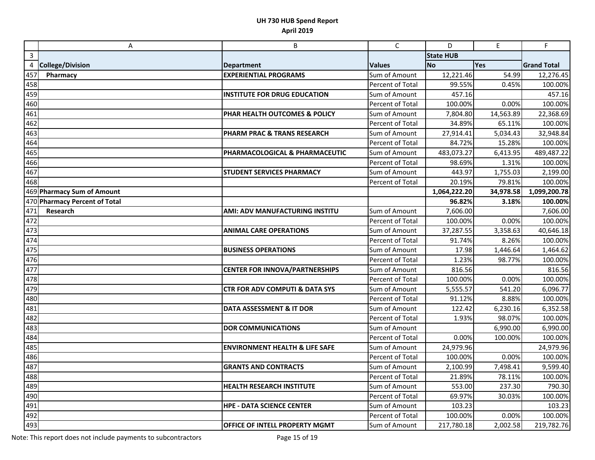|                         | A                             | B                                         | $\mathsf{C}$     | D                | E         | F                  |
|-------------------------|-------------------------------|-------------------------------------------|------------------|------------------|-----------|--------------------|
| $\overline{\mathbf{3}}$ |                               |                                           |                  | <b>State HUB</b> |           |                    |
| 4                       | <b>College/Division</b>       | <b>Department</b>                         | <b>Values</b>    | <b>No</b>        | Yes       | <b>Grand Total</b> |
| 457                     | Pharmacy                      | <b>EXPERIENTIAL PROGRAMS</b>              | Sum of Amount    | 12,221.46        | 54.99     | 12,276.45          |
| 458                     |                               |                                           | Percent of Total | 99.55%           | 0.45%     | 100.00%            |
| 459                     |                               | <b>INSTITUTE FOR DRUG EDUCATION</b>       | Sum of Amount    | 457.16           |           | 457.16             |
| 460                     |                               |                                           | Percent of Total | 100.00%          | 0.00%     | 100.00%            |
| 461                     |                               | PHAR HEALTH OUTCOMES & POLICY             | Sum of Amount    | 7,804.80         | 14,563.89 | 22,368.69          |
| 462                     |                               |                                           | Percent of Total | 34.89%           | 65.11%    | 100.00%            |
| 463                     |                               | <b>PHARM PRAC &amp; TRANS RESEARCH</b>    | Sum of Amount    | 27,914.41        | 5,034.43  | 32,948.84          |
| 464                     |                               |                                           | Percent of Total | 84.72%           | 15.28%    | 100.00%            |
| 465                     |                               | PHARMACOLOGICAL & PHARMACEUTIC            | Sum of Amount    | 483,073.27       | 6,413.95  | 489,487.22         |
| 466                     |                               |                                           | Percent of Total | 98.69%           | 1.31%     | 100.00%            |
| 467                     |                               | <b>STUDENT SERVICES PHARMACY</b>          | Sum of Amount    | 443.97           | 1,755.03  | 2,199.00           |
| 468                     |                               |                                           | Percent of Total | 20.19%           | 79.81%    | 100.00%            |
|                         | 469 Pharmacy Sum of Amount    |                                           |                  | 1,064,222.20     | 34,978.58 | 1,099,200.78       |
|                         | 470 Pharmacy Percent of Total |                                           |                  | 96.82%           | 3.18%     | 100.00%            |
| 471                     | Research                      | AMI: ADV MANUFACTURING INSTITU            | Sum of Amount    | 7,606.00         |           | 7,606.00           |
| 472                     |                               |                                           | Percent of Total | 100.00%          | 0.00%     | 100.00%            |
| 473                     |                               | <b>ANIMAL CARE OPERATIONS</b>             | Sum of Amount    | 37,287.55        | 3,358.63  | 40,646.18          |
| 474                     |                               |                                           | Percent of Total | 91.74%           | 8.26%     | 100.00%            |
| 475                     |                               | <b>BUSINESS OPERATIONS</b>                | Sum of Amount    | 17.98            | 1,446.64  | 1,464.62           |
| 476                     |                               |                                           | Percent of Total | 1.23%            | 98.77%    | 100.00%            |
| 477                     |                               | <b>CENTER FOR INNOVA/PARTNERSHIPS</b>     | Sum of Amount    | 816.56           |           | 816.56             |
| 478                     |                               |                                           | Percent of Total | 100.00%          | 0.00%     | 100.00%            |
| 479                     |                               | <b>CTR FOR ADV COMPUTI &amp; DATA SYS</b> | Sum of Amount    | 5,555.57         | 541.20    | 6,096.77           |
| 480                     |                               |                                           | Percent of Total | 91.12%           | 8.88%     | 100.00%            |
| 481                     |                               | DATA ASSESSMENT & IT DOR                  | Sum of Amount    | 122.42           | 6,230.16  | 6,352.58           |
| 482                     |                               |                                           | Percent of Total | 1.93%            | 98.07%    | 100.00%            |
| 483                     |                               | <b>DOR COMMUNICATIONS</b>                 | Sum of Amount    |                  | 6,990.00  | 6,990.00           |
| 484                     |                               |                                           | Percent of Total | 0.00%            | 100.00%   | 100.00%            |
| 485                     |                               | <b>ENVIRONMENT HEALTH &amp; LIFE SAFE</b> | Sum of Amount    | 24,979.96        |           | 24,979.96          |
| 486                     |                               |                                           | Percent of Total | 100.00%          | 0.00%     | 100.00%            |
| 487                     |                               | <b>GRANTS AND CONTRACTS</b>               | Sum of Amount    | 2,100.99         | 7,498.41  | 9,599.40           |
| 488                     |                               |                                           | Percent of Total | 21.89%           | 78.11%    | 100.00%            |
| 489                     |                               | HEALTH RESEARCH INSTITUTE                 | Sum of Amount    | 553.00           | 237.30    | 790.30             |
| 490                     |                               |                                           | Percent of Total | 69.97%           | 30.03%    | 100.00%            |
| 491                     |                               | <b>HPE - DATA SCIENCE CENTER</b>          | Sum of Amount    | 103.23           |           | 103.23             |
| 492                     |                               |                                           | Percent of Total | 100.00%          | 0.00%     | 100.00%            |
| 493                     |                               | OFFICE OF INTELL PROPERTY MGMT            | Sum of Amount    | 217,780.18       | 2,002.58  | 219,782.76         |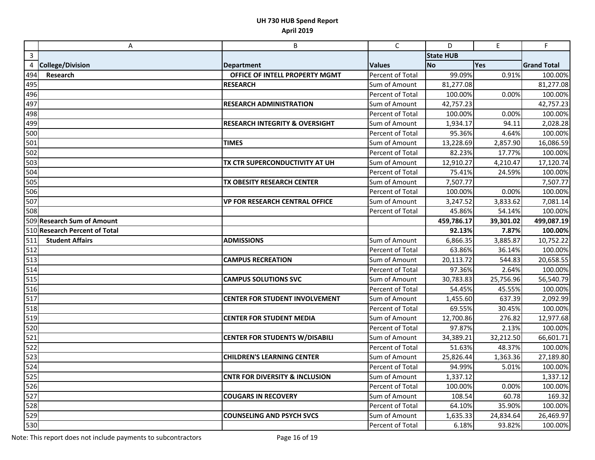|              | A                             | B                                         | $\mathsf C$      | D                | $\mathsf E$ | F                  |
|--------------|-------------------------------|-------------------------------------------|------------------|------------------|-------------|--------------------|
| $\mathbf{3}$ |                               |                                           |                  | <b>State HUB</b> |             |                    |
| 4            | <b>College/Division</b>       | <b>Department</b>                         | <b>Values</b>    | <b>No</b>        | Yes         | <b>Grand Total</b> |
| 494          | Research                      | OFFICE OF INTELL PROPERTY MGMT            | Percent of Total | 99.09%           | 0.91%       | 100.00%            |
| 495          |                               | <b>RESEARCH</b>                           | Sum of Amount    | 81,277.08        |             | 81,277.08          |
| 496          |                               |                                           | Percent of Total | 100.00%          | 0.00%       | 100.00%            |
| 497          |                               | <b>RESEARCH ADMINISTRATION</b>            | Sum of Amount    | 42,757.23        |             | 42,757.23          |
| 498          |                               |                                           | Percent of Total | 100.00%          | 0.00%       | 100.00%            |
| 499          |                               | <b>RESEARCH INTEGRITY &amp; OVERSIGHT</b> | Sum of Amount    | 1,934.17         | 94.11       | 2,028.28           |
| 500          |                               |                                           | Percent of Total | 95.36%           | 4.64%       | 100.00%            |
| 501          |                               | <b>TIMES</b>                              | Sum of Amount    | 13,228.69        | 2,857.90    | 16,086.59          |
| 502          |                               |                                           | Percent of Total | 82.23%           | 17.77%      | 100.00%            |
| 503          |                               | TX CTR SUPERCONDUCTIVITY AT UH            | Sum of Amount    | 12,910.27        | 4,210.47    | 17,120.74          |
| 504          |                               |                                           | Percent of Total | 75.41%           | 24.59%      | 100.00%            |
| 505          |                               | TX OBESITY RESEARCH CENTER                | Sum of Amount    | 7,507.77         |             | 7,507.77           |
| 506          |                               |                                           | Percent of Total | 100.00%          | 0.00%       | 100.00%            |
| 507          |                               | <b>VP FOR RESEARCH CENTRAL OFFICE</b>     | Sum of Amount    | 3,247.52         | 3,833.62    | 7,081.14           |
| 508          |                               |                                           | Percent of Total | 45.86%           | 54.14%      | 100.00%            |
|              | 509 Research Sum of Amount    |                                           |                  | 459,786.17       | 39,301.02   | 499,087.19         |
|              | 510 Research Percent of Total |                                           |                  | 92.13%           | 7.87%       | 100.00%            |
| 511          | <b>Student Affairs</b>        | <b>ADMISSIONS</b>                         | Sum of Amount    | 6,866.35         | 3,885.87    | 10,752.22          |
| 512          |                               |                                           | Percent of Total | 63.86%           | 36.14%      | 100.00%            |
| 513          |                               | <b>CAMPUS RECREATION</b>                  | Sum of Amount    | 20,113.72        | 544.83      | 20,658.55          |
| 514          |                               |                                           | Percent of Total | 97.36%           | 2.64%       | 100.00%            |
| 515          |                               | <b>CAMPUS SOLUTIONS SVC</b>               | Sum of Amount    | 30,783.83        | 25,756.96   | 56,540.79          |
| 516          |                               |                                           | Percent of Total | 54.45%           | 45.55%      | 100.00%            |
| 517          |                               | <b>CENTER FOR STUDENT INVOLVEMENT</b>     | Sum of Amount    | 1,455.60         | 637.39      | 2,092.99           |
| 518          |                               |                                           | Percent of Total | 69.55%           | 30.45%      | 100.00%            |
| 519          |                               | <b>CENTER FOR STUDENT MEDIA</b>           | Sum of Amount    | 12,700.86        | 276.82      | 12,977.68          |
| 520          |                               |                                           | Percent of Total | 97.87%           | 2.13%       | 100.00%            |
| 521          |                               | <b>CENTER FOR STUDENTS W/DISABILI</b>     | Sum of Amount    | 34,389.21        | 32,212.50   | 66,601.71          |
| 522          |                               |                                           | Percent of Total | 51.63%           | 48.37%      | 100.00%            |
| 523          |                               | <b>CHILDREN'S LEARNING CENTER</b>         | Sum of Amount    | 25,826.44        | 1,363.36    | 27,189.80          |
| 524          |                               |                                           | Percent of Total | 94.99%           | 5.01%       | 100.00%            |
| 525          |                               | <b>CNTR FOR DIVERSITY &amp; INCLUSION</b> | Sum of Amount    | 1,337.12         |             | 1,337.12           |
| 526          |                               |                                           | Percent of Total | 100.00%          | 0.00%       | 100.00%            |
| 527          |                               | <b>COUGARS IN RECOVERY</b>                | Sum of Amount    | 108.54           | 60.78       | 169.32             |
| 528          |                               |                                           | Percent of Total | 64.10%           | 35.90%      | 100.00%            |
| 529          |                               | <b>COUNSELING AND PSYCH SVCS</b>          | Sum of Amount    | 1,635.33         | 24,834.64   | 26,469.97          |
| 530          |                               |                                           | Percent of Total | 6.18%            | 93.82%      | 100.00%            |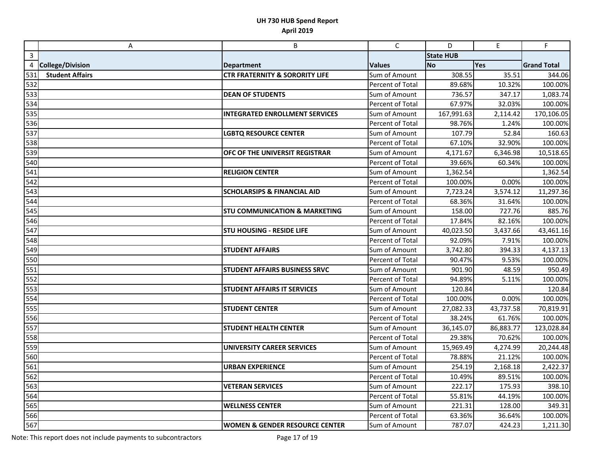|              | A                       | B                                         | $\mathsf{C}$     | D                | E         | F                  |
|--------------|-------------------------|-------------------------------------------|------------------|------------------|-----------|--------------------|
| $\mathbf{3}$ |                         |                                           |                  | <b>State HUB</b> |           |                    |
| 4            | <b>College/Division</b> | <b>Department</b>                         | <b>Values</b>    | <b>No</b>        | Yes       | <b>Grand Total</b> |
| 531          | <b>Student Affairs</b>  | <b>CTR FRATERNITY &amp; SORORITY LIFE</b> | Sum of Amount    | 308.55           | 35.51     | 344.06             |
| 532          |                         |                                           | Percent of Total | 89.68%           | 10.32%    | 100.00%            |
| 533          |                         | <b>DEAN OF STUDENTS</b>                   | Sum of Amount    | 736.57           | 347.17    | 1,083.74           |
| 534          |                         |                                           | Percent of Total | 67.97%           | 32.03%    | 100.00%            |
| 535          |                         | <b>INTEGRATED ENROLLMENT SERVICES</b>     | Sum of Amount    | 167,991.63       | 2,114.42  | 170,106.05         |
| 536          |                         |                                           | Percent of Total | 98.76%           | 1.24%     | 100.00%            |
| 537          |                         | <b>LGBTQ RESOURCE CENTER</b>              | Sum of Amount    | 107.79           | 52.84     | 160.63             |
| 538          |                         |                                           | Percent of Total | 67.10%           | 32.90%    | 100.00%            |
| 539          |                         | OFC OF THE UNIVERSIT REGISTRAR            | Sum of Amount    | 4,171.67         | 6,346.98  | 10,518.65          |
| 540          |                         |                                           | Percent of Total | 39.66%           | 60.34%    | 100.00%            |
| 541          |                         | <b>RELIGION CENTER</b>                    | Sum of Amount    | 1,362.54         |           | 1,362.54           |
| 542          |                         |                                           | Percent of Total | 100.00%          | 0.00%     | 100.00%            |
| 543          |                         | <b>SCHOLARSIPS &amp; FINANCIAL AID</b>    | Sum of Amount    | 7,723.24         | 3,574.12  | 11,297.36          |
| 544          |                         |                                           | Percent of Total | 68.36%           | 31.64%    | 100.00%            |
| 545          |                         | <b>STU COMMUNICATION &amp; MARKETING</b>  | Sum of Amount    | 158.00           | 727.76    | 885.76             |
| 546          |                         |                                           | Percent of Total | 17.84%           | 82.16%    | 100.00%            |
| 547          |                         | <b>STU HOUSING - RESIDE LIFE</b>          | Sum of Amount    | 40,023.50        | 3,437.66  | 43,461.16          |
| 548          |                         |                                           | Percent of Total | 92.09%           | 7.91%     | 100.00%            |
| 549          |                         | <b>STUDENT AFFAIRS</b>                    | Sum of Amount    | 3,742.80         | 394.33    | 4,137.13           |
| 550          |                         |                                           | Percent of Total | 90.47%           | 9.53%     | 100.00%            |
| 551          |                         | STUDENT AFFAIRS BUSINESS SRVC             | Sum of Amount    | 901.90           | 48.59     | 950.49             |
| 552          |                         |                                           | Percent of Total | 94.89%           | 5.11%     | 100.00%            |
| 553          |                         | <b>STUDENT AFFAIRS IT SERVICES</b>        | Sum of Amount    | 120.84           |           | 120.84             |
| 554          |                         |                                           | Percent of Total | 100.00%          | 0.00%     | 100.00%            |
| 555          |                         | <b>STUDENT CENTER</b>                     | Sum of Amount    | 27,082.33        | 43,737.58 | 70,819.91          |
| 556          |                         |                                           | Percent of Total | 38.24%           | 61.76%    | 100.00%            |
| 557          |                         | <b>STUDENT HEALTH CENTER</b>              | Sum of Amount    | 36,145.07        | 86,883.77 | 123,028.84         |
| 558          |                         |                                           | Percent of Total | 29.38%           | 70.62%    | 100.00%            |
| 559          |                         | <b>UNIVERSITY CAREER SERVICES</b>         | Sum of Amount    | 15,969.49        | 4,274.99  | 20,244.48          |
| 560          |                         |                                           | Percent of Total | 78.88%           | 21.12%    | 100.00%            |
| 561          |                         | <b>URBAN EXPERIENCE</b>                   | Sum of Amount    | 254.19           | 2,168.18  | 2,422.37           |
| 562          |                         |                                           | Percent of Total | 10.49%           | 89.51%    | 100.00%            |
| 563          |                         | <b>VETERAN SERVICES</b>                   | Sum of Amount    | 222.17           | 175.93    | 398.10             |
| 564          |                         |                                           | Percent of Total | 55.81%           | 44.19%    | 100.00%            |
| 565          |                         | <b>WELLNESS CENTER</b>                    | Sum of Amount    | 221.31           | 128.00    | 349.31             |
| 566          |                         |                                           | Percent of Total | 63.36%           | 36.64%    | 100.00%            |
| 567          |                         | <b>WOMEN &amp; GENDER RESOURCE CENTER</b> | Sum of Amount    | 787.07           | 424.23    | 1,211.30           |

Note: This report does not include payments to subcontractors Page 17 of 19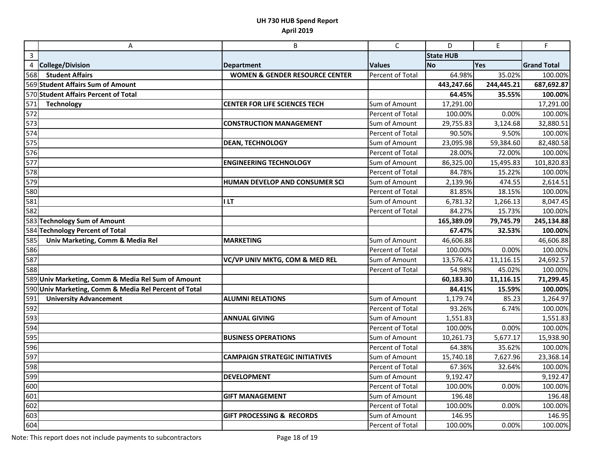|                | A                                                     | B                                         | $\mathsf{C}$     | D                | E          | F                  |
|----------------|-------------------------------------------------------|-------------------------------------------|------------------|------------------|------------|--------------------|
| $\overline{3}$ |                                                       |                                           |                  | <b>State HUB</b> |            |                    |
| 4              | <b>College/Division</b>                               | <b>Department</b>                         | <b>Values</b>    | <b>No</b>        | Yes        | <b>Grand Total</b> |
| 568            | <b>Student Affairs</b>                                | <b>WOMEN &amp; GENDER RESOURCE CENTER</b> | Percent of Total | 64.98%           | 35.02%     | 100.00%            |
|                | 569 Student Affairs Sum of Amount                     |                                           |                  | 443,247.66       | 244,445.21 | 687,692.87         |
|                | 570 Student Affairs Percent of Total                  |                                           |                  | 64.45%           | 35.55%     | 100.00%            |
| 571            | <b>Technology</b>                                     | <b>CENTER FOR LIFE SCIENCES TECH</b>      | Sum of Amount    | 17,291.00        |            | 17,291.00          |
| 572            |                                                       |                                           | Percent of Total | 100.00%          | 0.00%      | 100.00%            |
| 573            |                                                       | <b>CONSTRUCTION MANAGEMENT</b>            | Sum of Amount    | 29,755.83        | 3,124.68   | 32,880.51          |
| 574            |                                                       |                                           | Percent of Total | 90.50%           | 9.50%      | 100.00%            |
| 575            |                                                       | <b>DEAN, TECHNOLOGY</b>                   | Sum of Amount    | 23,095.98        | 59,384.60  | 82,480.58          |
| 576            |                                                       |                                           | Percent of Total | 28.00%           | 72.00%     | 100.00%            |
| 577            |                                                       | <b>ENGINEERING TECHNOLOGY</b>             | Sum of Amount    | 86,325.00        | 15,495.83  | 101,820.83         |
| 578            |                                                       |                                           | Percent of Total | 84.78%           | 15.22%     | 100.00%            |
| 579            |                                                       | HUMAN DEVELOP AND CONSUMER SCI            | Sum of Amount    | 2,139.96         | 474.55     | 2,614.51           |
| 580            |                                                       |                                           | Percent of Total | 81.85%           | 18.15%     | 100.00%            |
| 581            |                                                       | <b>ILT</b>                                | Sum of Amount    | 6,781.32         | 1,266.13   | 8,047.45           |
| 582            |                                                       |                                           | Percent of Total | 84.27%           | 15.73%     | 100.00%            |
|                | 583 Technology Sum of Amount                          |                                           |                  | 165,389.09       | 79,745.79  | 245,134.88         |
|                | 584 Technology Percent of Total                       |                                           |                  | 67.47%           | 32.53%     | 100.00%            |
| 585            | Univ Marketing, Comm & Media Rel                      | <b>MARKETING</b>                          | Sum of Amount    | 46,606.88        |            | 46,606.88          |
| 586            |                                                       |                                           | Percent of Total | 100.00%          | 0.00%      | 100.00%            |
| 587            |                                                       | VC/VP UNIV MKTG, COM & MED REL            | Sum of Amount    | 13,576.42        | 11,116.15  | 24,692.57          |
| 588            |                                                       |                                           | Percent of Total | 54.98%           | 45.02%     | 100.00%            |
|                | 589 Univ Marketing, Comm & Media Rel Sum of Amount    |                                           |                  | 60,183.30        | 11,116.15  | 71,299.45          |
|                | 590 Univ Marketing, Comm & Media Rel Percent of Total |                                           |                  | 84.41%           | 15.59%     | 100.00%            |
| 591            | <b>University Advancement</b>                         | <b>ALUMNI RELATIONS</b>                   | Sum of Amount    | 1,179.74         | 85.23      | 1,264.97           |
| 592            |                                                       |                                           | Percent of Total | 93.26%           | 6.74%      | 100.00%            |
| 593            |                                                       | <b>ANNUAL GIVING</b>                      | Sum of Amount    | 1,551.83         |            | 1,551.83           |
| 594            |                                                       |                                           | Percent of Total | 100.00%          | 0.00%      | 100.00%            |
| 595            |                                                       | <b>BUSINESS OPERATIONS</b>                | Sum of Amount    | 10,261.73        | 5,677.17   | 15,938.90          |
| 596            |                                                       |                                           | Percent of Total | 64.38%           | 35.62%     | 100.00%            |
| 597            |                                                       | <b>CAMPAIGN STRATEGIC INITIATIVES</b>     | Sum of Amount    | 15,740.18        | 7,627.96   | 23,368.14          |
| 598            |                                                       |                                           | Percent of Total | 67.36%           | 32.64%     | 100.00%            |
| 599            |                                                       | <b>DEVELOPMENT</b>                        | Sum of Amount    | 9,192.47         |            | 9,192.47           |
| 600            |                                                       |                                           | Percent of Total | 100.00%          | 0.00%      | 100.00%            |
| 601            |                                                       | <b>GIFT MANAGEMENT</b>                    | Sum of Amount    | 196.48           |            | 196.48             |
| 602            |                                                       |                                           | Percent of Total | 100.00%          | 0.00%      | 100.00%            |
| 603            |                                                       | <b>GIFT PROCESSING &amp; RECORDS</b>      | Sum of Amount    | 146.95           |            | 146.95             |
| 604            |                                                       |                                           | Percent of Total | 100.00%          | 0.00%      | 100.00%            |